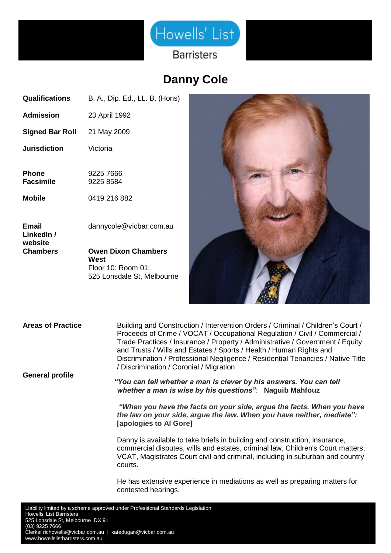

## **Danny Cole**

| Qualifications            | B. A., Dip. Ed., LL. B. (Hons) |
|---------------------------|--------------------------------|
| Admission                 | 23 April 1992                  |
| Signed Bar Roll           | 21 May 2009                    |
| <b>Jurisdiction</b>       | Victoria                       |
| Phone<br><b>Facsimile</b> | 9225 7666<br>9225 8584         |
| Mobile                    | 0419 216 882                   |
| Email<br>LinkedIn /       | dannycole@vicbar.com.au        |
| website<br>Chambers       | <b>Owen Dixon Chambers</b>     |

**West**  Floor 10: Room 01: 525 Lonsdale St, Melbourne



**Areas of Practice** Building and Construction / Intervention Orders / Criminal / Children's Court / Proceeds of Crime / VOCAT / Occupational Regulation / Civil / Commercial / Trade Practices / Insurance / Property / Administrative / Government / Equity and Trusts / Wills and Estates / Sports / Health / Human Rights and Discrimination / Professional Negligence / Residential Tenancies / Native Title / Discrimination / Coronial / Migration

**General profile**

*"You can tell whether a man is clever by his answers. You can tell whether a man is wise by his questions"*: **Naguib Mahfouz**

*"When you have the facts on your side, argue the facts. When you have the law on your side, argue the law. When you have neither, mediate":*  **[apologies to Al Gore]**

Danny is available to take briefs in building and construction, insurance, commercial disputes, wills and estates, criminal law, Children's Court matters, VCAT, Magistrates Court civil and criminal, including in suburban and country courts.

He has extensive experience in mediations as well as preparing matters for contested hearings.